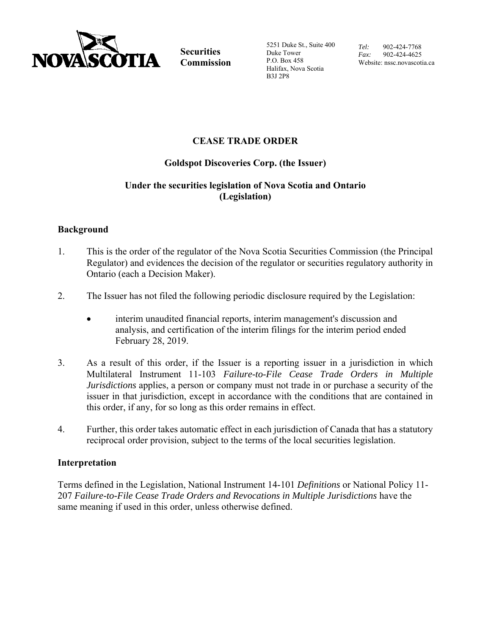

**Securities Commission**

5251 Duke St., Suite 400 Duke Tower P.O. Box 458 Halifax, Nova Scotia B3J 2P8

*Tel:* 902-424-7768 *Fax:* 902-424-4625 Website: nssc.novascotia.ca

# **CEASE TRADE ORDER**

## **Goldspot Discoveries Corp. (the Issuer)**

### **Under the securities legislation of Nova Scotia and Ontario (Legislation)**

### **Background**

- 1. This is the order of the regulator of the Nova Scotia Securities Commission (the Principal Regulator) and evidences the decision of the regulator or securities regulatory authority in Ontario (each a Decision Maker).
- 2. The Issuer has not filed the following periodic disclosure required by the Legislation:
	- interim unaudited financial reports, interim management's discussion and analysis, and certification of the interim filings for the interim period ended February 28, 2019.
- 3. As a result of this order, if the Issuer is a reporting issuer in a jurisdiction in which Multilateral Instrument 11-103 *Failure-to-File Cease Trade Orders in Multiple Jurisdictions* applies, a person or company must not trade in or purchase a security of the issuer in that jurisdiction, except in accordance with the conditions that are contained in this order, if any, for so long as this order remains in effect.
- 4. Further, this order takes automatic effect in each jurisdiction of Canada that has a statutory reciprocal order provision, subject to the terms of the local securities legislation.

### **Interpretation**

Terms defined in the Legislation, National Instrument 14-101 *Definitions* or National Policy 11- 207 *Failure-to-File Cease Trade Orders and Revocations in Multiple Jurisdictions* have the same meaning if used in this order, unless otherwise defined.